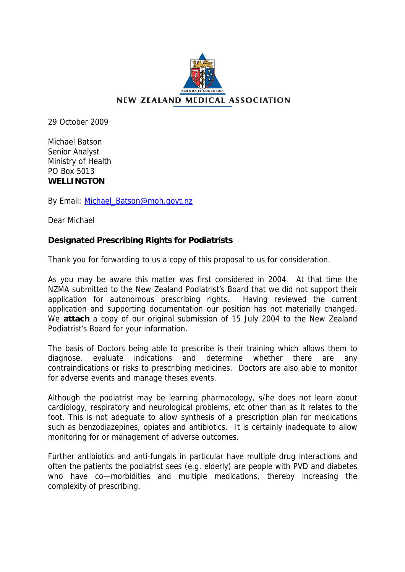

29 October 2009

Michael Batson Senior Analyst Ministry of Health PO Box 5013 **WELLINGTON** 

By Email: Michael Batson@moh.govt.nz

Dear Michael

## **Designated Prescribing Rights for Podiatrists**

Thank you for forwarding to us a copy of this proposal to us for consideration.

As you may be aware this matter was first considered in 2004. At that time the NZMA submitted to the New Zealand Podiatrist's Board that we did not support their application for autonomous prescribing rights. Having reviewed the current application and supporting documentation our position has not materially changed. We **attach** a copy of our original submission of 15 July 2004 to the New Zealand Podiatrist's Board for your information.

The basis of Doctors being able to prescribe is their training which allows them to diagnose, evaluate indications and determine whether there are any contraindications or risks to prescribing medicines. Doctors are also able to monitor for adverse events and manage theses events.

Although the podiatrist may be learning pharmacology, s/he does not learn about cardiology, respiratory and neurological problems, etc other than as it relates to the foot. This is not adequate to allow synthesis of a prescription plan for medications such as benzodiazepines, opiates and antibiotics. It is certainly inadequate to allow monitoring for or management of adverse outcomes.

Further antibiotics and anti-fungals in particular have multiple drug interactions and often the patients the podiatrist sees (e.g. elderly) are people with PVD and diabetes who have co—morbidities and multiple medications, thereby increasing the complexity of prescribing.